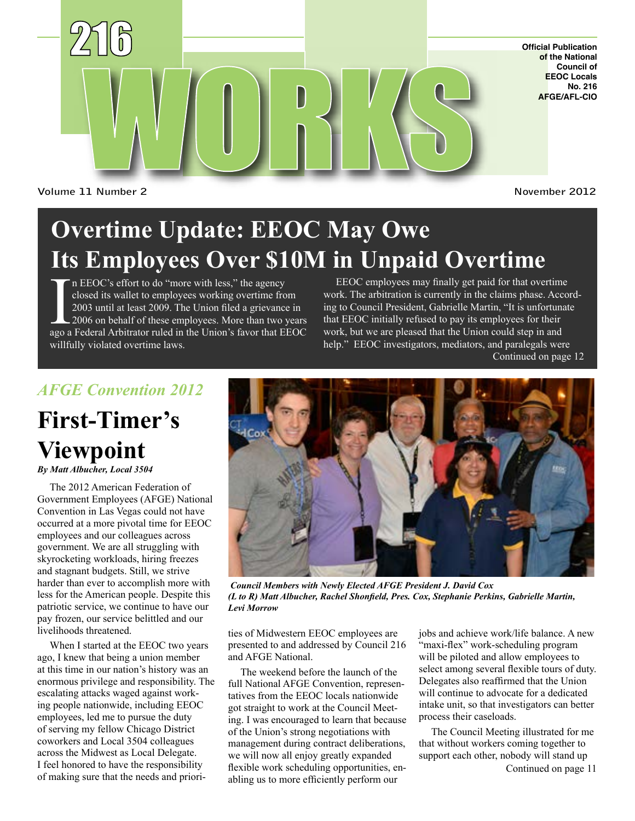

**Official Publication of the National Council of EEOC Locals No. 216 AFGE/AFL-CIO**

**Volume 11 Number 2**

**November 2012**

# **Overtime Update: EEOC May Owe Its Employees Over \$10M in Unpaid Overtime**

In EEOC's effort to do "more with less," the agency closed its wallet to employees working overtime from 2003 until at least 2009. The Union filed a grievance in 2006 on behalf of these employees. More than two years ago a n EEOC's effort to do "more with less," the agency closed its wallet to employees working overtime from 2003 until at least 2009. The Union filed a grievance in 2006 on behalf of these employees. More than two years willfully violated overtime laws.

EEOC employees may finally get paid for that overtime work. The arbitration is currently in the claims phase. According to Council President, Gabrielle Martin, "It is unfortunate that EEOC initially refused to pay its employees for their work, but we are pleased that the Union could step in and help." EEOC investigators, mediators, and paralegals were Continued on page 12

### *AFGE Convention 2012*

# **First-Timer's Viewpoint**

*By Matt Albucher, Local 3504*

The 2012 American Federation of Government Employees (AFGE) National Convention in Las Vegas could not have occurred at a more pivotal time for EEOC employees and our colleagues across government. We are all struggling with skyrocketing workloads, hiring freezes and stagnant budgets. Still, we strive harder than ever to accomplish more with less for the American people. Despite this patriotic service, we continue to have our pay frozen, our service belittled and our livelihoods threatened.

When I started at the EEOC two years ago, I knew that being a union member at this time in our nation's history was an enormous privilege and responsibility. The escalating attacks waged against working people nationwide, including EEOC employees, led me to pursue the duty of serving my fellow Chicago District coworkers and Local 3504 colleagues across the Midwest as Local Delegate. I feel honored to have the responsibility of making sure that the needs and priori-



 *Council Members with Newly Elected AFGE President J. David Cox (L to R) Matt Albucher, Rachel Shonfield, Pres. Cox, Stephanie Perkins, Gabrielle Martin, Levi Morrow*

ties of Midwestern EEOC employees are presented to and addressed by Council 216 and AFGE National.

The weekend before the launch of the full National AFGE Convention, representatives from the EEOC locals nationwide got straight to work at the Council Meeting. I was encouraged to learn that because of the Union's strong negotiations with management during contract deliberations, we will now all enjoy greatly expanded flexible work scheduling opportunities, enabling us to more efficiently perform our

jobs and achieve work/life balance. A new "maxi-flex" work-scheduling program will be piloted and allow employees to select among several flexible tours of duty. Delegates also reaffirmed that the Union will continue to advocate for a dedicated intake unit, so that investigators can better process their caseloads.

Continued on page 11 The Council Meeting illustrated for me that without workers coming together to support each other, nobody will stand up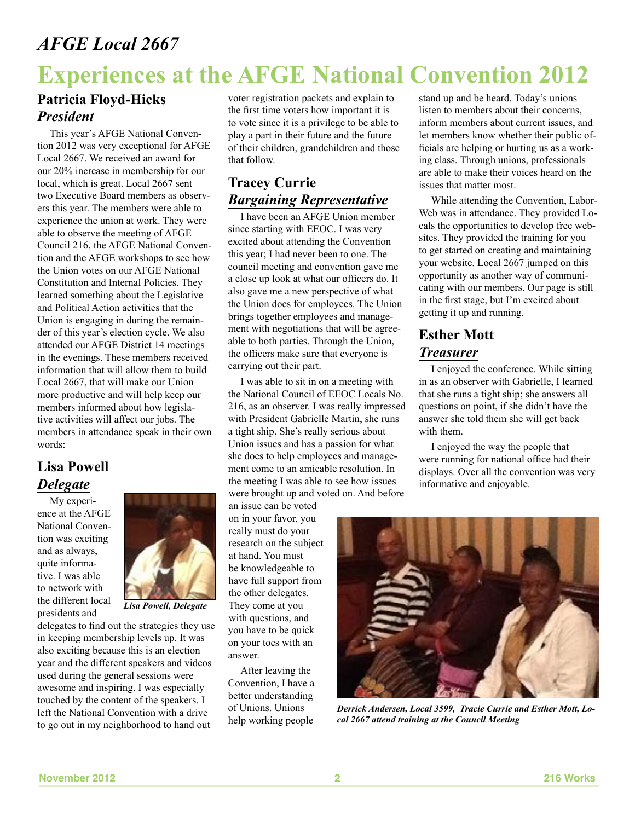### *AFGE Local 2667*

# **Experiences at the AFGE National Convention 2012**

#### **Patricia Floyd-Hicks** *President*

This year's AFGE National Convention 2012 was very exceptional for AFGE Local 2667. We received an award for our 20% increase in membership for our local, which is great. Local 2667 sent two Executive Board members as observers this year. The members were able to experience the union at work. They were able to observe the meeting of AFGE Council 216, the AFGE National Convention and the AFGE workshops to see how the Union votes on our AFGE National Constitution and Internal Policies. They learned something about the Legislative and Political Action activities that the Union is engaging in during the remainder of this year's election cycle. We also attended our AFGE District 14 meetings in the evenings. These members received information that will allow them to build Local 2667, that will make our Union more productive and will help keep our members informed about how legislative activities will affect our jobs. The members in attendance speak in their own words:

#### **Lisa Powell**  *Delegate*

My experience at the AFGE National Convention was exciting and as always, quite informative. I was able to network with the different local presidents and



*Lisa Powell, Delegate*

delegates to find out the strategies they use in keeping membership levels up. It was also exciting because this is an election year and the different speakers and videos used during the general sessions were awesome and inspiring. I was especially touched by the content of the speakers. I left the National Convention with a drive to go out in my neighborhood to hand out

voter registration packets and explain to the first time voters how important it is to vote since it is a privilege to be able to play a part in their future and the future of their children, grandchildren and those that follow.

#### **Tracey Currie** *Bargaining Representative*

I have been an AFGE Union member since starting with EEOC. I was very excited about attending the Convention this year; I had never been to one. The council meeting and convention gave me a close up look at what our officers do. It also gave me a new perspective of what the Union does for employees. The Union brings together employees and management with negotiations that will be agreeable to both parties. Through the Union, the officers make sure that everyone is carrying out their part.

I was able to sit in on a meeting with the National Council of EEOC Locals No. 216, as an observer. I was really impressed with President Gabrielle Martin, she runs a tight ship. She's really serious about Union issues and has a passion for what she does to help employees and management come to an amicable resolution. In the meeting I was able to see how issues were brought up and voted on. And before

an issue can be voted on in your favor, you really must do your research on the subject at hand. You must be knowledgeable to have full support from the other delegates. They come at you with questions, and you have to be quick on your toes with an answer.

After leaving the Convention, I have a better understanding of Unions. Unions help working people

stand up and be heard. Today's unions listen to members about their concerns, inform members about current issues, and let members know whether their public officials are helping or hurting us as a working class. Through unions, professionals are able to make their voices heard on the issues that matter most.

While attending the Convention, Labor-Web was in attendance. They provided Locals the opportunities to develop free websites. They provided the training for you to get started on creating and maintaining your website. Local 2667 jumped on this opportunity as another way of communicating with our members. Our page is still in the first stage, but I'm excited about getting it up and running.

### **Esther Mott** *Treasurer*

I enjoyed the conference. While sitting in as an observer with Gabrielle, I learned that she runs a tight ship; she answers all questions on point, if she didn't have the answer she told them she will get back with them.

I enjoyed the way the people that were running for national office had their displays. Over all the convention was very informative and enjoyable.



*Derrick Andersen, Local 3599, Tracie Currie and Esther Mott, Local 2667 attend training at the Council Meeting*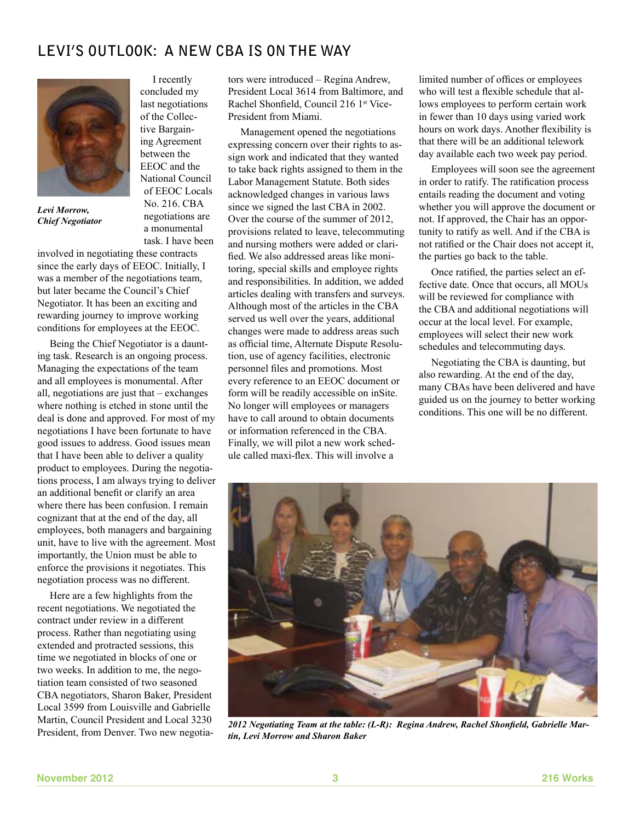### **Levi's Outlook: A NEW CBA IS ON THE WAY**

I recently concluded my last negotiations of the Collective Bargaining Agreement between the EEOC and the National Council of EEOC Locals No. 216. CBA negotiations are a monumental



*Levi Morrow, Chief Negotiator*

task. I have been involved in negotiating these contracts since the early days of EEOC. Initially, I was a member of the negotiations team, but later became the Council's Chief Negotiator. It has been an exciting and rewarding journey to improve working conditions for employees at the EEOC.

Being the Chief Negotiator is a daunting task. Research is an ongoing process. Managing the expectations of the team and all employees is monumental. After all, negotiations are just that – exchanges where nothing is etched in stone until the deal is done and approved. For most of my negotiations I have been fortunate to have good issues to address. Good issues mean that I have been able to deliver a quality product to employees. During the negotiations process, I am always trying to deliver an additional benefit or clarify an area where there has been confusion. I remain cognizant that at the end of the day, all employees, both managers and bargaining unit, have to live with the agreement. Most importantly, the Union must be able to enforce the provisions it negotiates. This negotiation process was no different.

Here are a few highlights from the recent negotiations. We negotiated the contract under review in a different process. Rather than negotiating using extended and protracted sessions, this time we negotiated in blocks of one or two weeks. In addition to me, the negotiation team consisted of two seasoned CBA negotiators, Sharon Baker, President Local 3599 from Louisville and Gabrielle Martin, Council President and Local 3230 President, from Denver. Two new negotiators were introduced – Regina Andrew, President Local 3614 from Baltimore, and Rachel Shonfield, Council 216 1st Vice-President from Miami.

Management opened the negotiations expressing concern over their rights to assign work and indicated that they wanted to take back rights assigned to them in the Labor Management Statute. Both sides acknowledged changes in various laws since we signed the last CBA in 2002. Over the course of the summer of 2012, provisions related to leave, telecommuting and nursing mothers were added or clarified. We also addressed areas like monitoring, special skills and employee rights and responsibilities. In addition, we added articles dealing with transfers and surveys. Although most of the articles in the CBA served us well over the years, additional changes were made to address areas such as official time, Alternate Dispute Resolution, use of agency facilities, electronic personnel files and promotions. Most every reference to an EEOC document or form will be readily accessible on inSite. No longer will employees or managers have to call around to obtain documents or information referenced in the CBA. Finally, we will pilot a new work schedule called maxi-flex. This will involve a

limited number of offices or employees who will test a flexible schedule that allows employees to perform certain work in fewer than 10 days using varied work hours on work days. Another flexibility is that there will be an additional telework day available each two week pay period.

Employees will soon see the agreement in order to ratify. The ratification process entails reading the document and voting whether you will approve the document or not. If approved, the Chair has an opportunity to ratify as well. And if the CBA is not ratified or the Chair does not accept it, the parties go back to the table.

Once ratified, the parties select an effective date. Once that occurs, all MOUs will be reviewed for compliance with the CBA and additional negotiations will occur at the local level. For example, employees will select their new work schedules and telecommuting days.

Negotiating the CBA is daunting, but also rewarding. At the end of the day, many CBAs have been delivered and have guided us on the journey to better working conditions. This one will be no different.



*2012 Negotiating Team at the table: (L-R): Regina Andrew, Rachel Shonfield, Gabrielle Martin, Levi Morrow and Sharon Baker*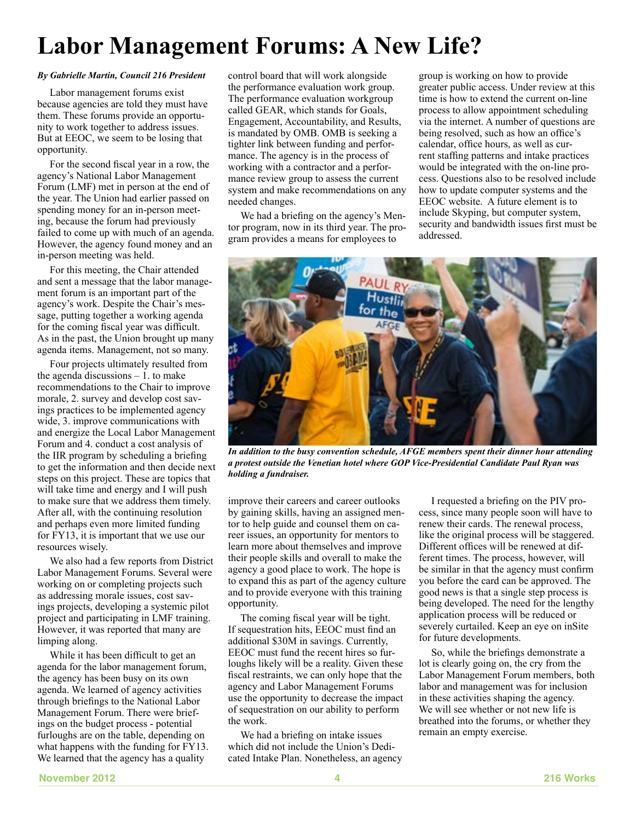# **Labor Management Forums: A New Life?**

#### *By Gabrielle Martin, Council 216 President*

Labor management forums exist because agencies are told they must have them. These forums provide an opportunity to work together to address issues. But at EEOC, we seem to be losing that opportunity.

For the second fiscal year in a row, the agency's National Labor Management Forum (LMF) met in person at the end of the year. The Union had earlier passed on spending money for an in-person meeting, because the forum had previously failed to come up with much of an agenda. However, the agency found money and an in-person meeting was held.

For this meeting, the Chair attended and sent a message that the labor management forum is an important part of the agency's work. Despite the Chair's message, putting together a working agenda for the coming fiscal year was difficult. As in the past, the Union brought up many agenda items. Management, not so many.

Four projects ultimately resulted from the agenda discussions  $-1$ . to make recommendations to the Chair to improve morale, 2. survey and develop cost savings practices to be implemented agency wide, 3. improve communications with and energize the Local Labor Management Forum and 4. conduct a cost analysis of the IIR program by scheduling a briefing to get the information and then decide next steps on this project. These are topics that will take time and energy and I will push to make sure that we address them timely. After all, with the continuing resolution and perhaps even more limited funding for FY13, it is important that we use our resources wisely.

We also had a few reports from District Labor Management Forums. Several were working on or completing projects such as addressing morale issues, cost savings projects, developing a systemic pilot project and participating in LMF training. However, it was reported that many are limping along.

While it has been difficult to get an agenda for the labor management forum, the agency has been busy on its own agenda. We learned of agency activities through briefings to the National Labor Management Forum. There were briefings on the budget process - potential furloughs are on the table, depending on what happens with the funding for FY13. We learned that the agency has a quality

control board that will work alongside the performance evaluation work group. The performance evaluation workgroup called GEAR, which stands for Goals, Engagement, Accountability, and Results, is mandated by OMB. OMB is seeking a tighter link between funding and performance. The agency is in the process of working with a contractor and a performance review group to assess the current system and make recommendations on any needed changes.

We had a briefing on the agency's Mentor program, now in its third year. The program provides a means for employees to

group is working on how to provide greater public access. Under review at this time is how to extend the current on-line process to allow appointment scheduling via the internet. A number of questions are being resolved, such as how an office's calendar, office hours, as well as current staffing patterns and intake practices would be integrated with the on-line process. Questions also to be resolved include how to update computer systems and the EEOC website. A future element is to include Skyping, but computer system, security and bandwidth issues first must be addressed.



*In addition to the busy convention schedule, AFGE members spent their dinner hour attending a protest outside the Venetian hotel where GOP Vice-Presidential Candidate Paul Ryan was holding a fundraiser.*

improve their careers and career outlooks by gaining skills, having an assigned mentor to help guide and counsel them on career issues, an opportunity for mentors to learn more about themselves and improve their people skills and overall to make the agency a good place to work. The hope is to expand this as part of the agency culture and to provide everyone with this training opportunity.

The coming fiscal year will be tight. If sequestration hits, EEOC must find an additional \$30M in savings. Currently, EEOC must fund the recent hires so furloughs likely will be a reality. Given these fiscal restraints, we can only hope that the agency and Labor Management Forums use the opportunity to decrease the impact of sequestration on our ability to perform the work.

We had a briefing on intake issues which did not include the Union's Dedicated Intake Plan. Nonetheless, an agency

I requested a briefing on the PIV process, since many people soon will have to renew their cards. The renewal process, like the original process will be staggered. Different offices will be renewed at different times. The process, however, will be similar in that the agency must confirm you before the card can be approved. The good news is that a single step process is being developed. The need for the lengthy application process will be reduced or severely curtailed. Keep an eye on inSite for future developments.

So, while the briefings demonstrate a lot is clearly going on, the cry from the Labor Management Forum members, both labor and management was for inclusion in these activities shaping the agency. We will see whether or not new life is breathed into the forums, or whether they remain an empty exercise.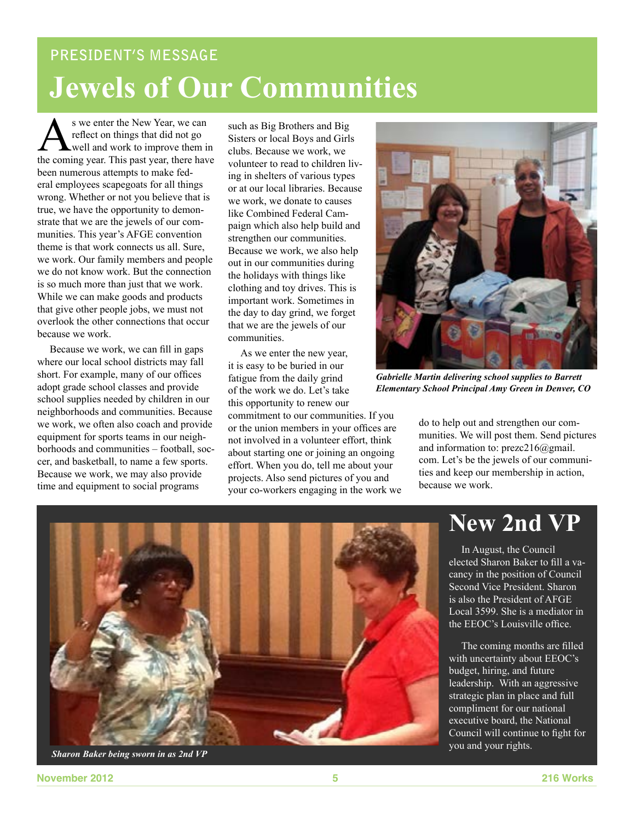# **PRESIDENT'S MESSAGE Jewels of Our Communities**

S we enter the New Year, we can<br>reflect on things that did not go<br>well and work to improve them is<br>the coming year. This past year, there have reflect on things that did not go well and work to improve them in the coming year. This past year, there have been numerous attempts to make federal employees scapegoats for all things wrong. Whether or not you believe that is true, we have the opportunity to demonstrate that we are the jewels of our communities. This year's AFGE convention theme is that work connects us all. Sure, we work. Our family members and people we do not know work. But the connection is so much more than just that we work. While we can make goods and products that give other people jobs, we must not overlook the other connections that occur because we work.

Because we work, we can fill in gaps where our local school districts may fall short. For example, many of our offices adopt grade school classes and provide school supplies needed by children in our neighborhoods and communities. Because we work, we often also coach and provide equipment for sports teams in our neighborhoods and communities – football, soccer, and basketball, to name a few sports. Because we work, we may also provide time and equipment to social programs

such as Big Brothers and Big Sisters or local Boys and Girls clubs. Because we work, we volunteer to read to children living in shelters of various types or at our local libraries. Because we work, we donate to causes like Combined Federal Campaign which also help build and strengthen our communities. Because we work, we also help out in our communities during the holidays with things like clothing and toy drives. This is important work. Sometimes in the day to day grind, we forget that we are the jewels of our communities.

As we enter the new year, it is easy to be buried in our fatigue from the daily grind of the work we do. Let's take this opportunity to renew our commitment to our communities. If you

or the union members in your offices are not involved in a volunteer effort, think about starting one or joining an ongoing effort. When you do, tell me about your projects. Also send pictures of you and your co-workers engaging in the work we



*Gabrielle Martin delivering school supplies to Barrett Elementary School Principal Amy Green in Denver, CO*

do to help out and strengthen our communities. We will post them. Send pictures and information to: prezc216@gmail. com. Let's be the jewels of our communities and keep our membership in action, because we work.

### **New 2nd VP**

In August, the Council elected Sharon Baker to fill a vacancy in the position of Council Second Vice President. Sharon is also the President of AFGE Local 3599. She is a mediator in the EEOC's Louisville office.

The coming months are filled with uncertainty about EEOC's budget, hiring, and future leadership. With an aggressive strategic plan in place and full compliment for our national executive board, the National Council will continue to fight for



**November 2012 5 216 Works**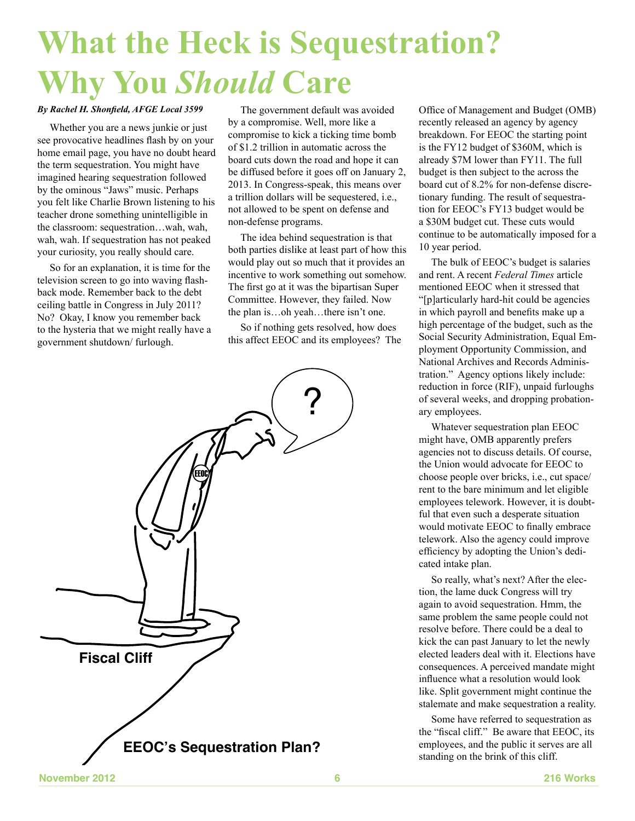# **What the Heck is Sequestration? Why You** *Should* **Care**

#### *By Rachel H. Shonfield, AFGE Local 3599*

Whether you are a news junkie or just see provocative headlines flash by on your home email page, you have no doubt heard the term sequestration. You might have imagined hearing sequestration followed by the ominous "Jaws" music. Perhaps you felt like Charlie Brown listening to his teacher drone something unintelligible in the classroom: sequestration…wah, wah, wah, wah. If sequestration has not peaked your curiosity, you really should care.

So for an explanation, it is time for the television screen to go into waving flashback mode. Remember back to the debt ceiling battle in Congress in July 2011? No? Okay, I know you remember back to the hysteria that we might really have a government shutdown/ furlough.

The government default was avoided by a compromise. Well, more like a compromise to kick a ticking time bomb of \$1.2 trillion in automatic across the board cuts down the road and hope it can be diffused before it goes off on January 2, 2013. In Congress-speak, this means over a trillion dollars will be sequestered, i.e., not allowed to be spent on defense and non-defense programs.

The idea behind sequestration is that both parties dislike at least part of how this would play out so much that it provides an incentive to work something out somehow. The first go at it was the bipartisan Super Committee. However, they failed. Now the plan is…oh yeah…there isn't one.

So if nothing gets resolved, how does this affect EEOC and its employees? The



Office of Management and Budget (OMB) recently released an agency by agency breakdown. For EEOC the starting point is the FY12 budget of \$360M, which is already \$7M lower than FY11. The full budget is then subject to the across the board cut of 8.2% for non-defense discretionary funding. The result of sequestration for EEOC's FY13 budget would be a \$30M budget cut. These cuts would continue to be automatically imposed for a 10 year period.

The bulk of EEOC's budget is salaries and rent. A recent *Federal Times* article mentioned EEOC when it stressed that "[p]articularly hard-hit could be agencies in which payroll and benefits make up a high percentage of the budget, such as the Social Security Administration, Equal Employment Opportunity Commission, and National Archives and Records Administration." Agency options likely include: reduction in force (RIF), unpaid furloughs of several weeks, and dropping probationary employees.

Whatever sequestration plan EEOC might have, OMB apparently prefers agencies not to discuss details. Of course, the Union would advocate for EEOC to choose people over bricks, i.e., cut space/ rent to the bare minimum and let eligible employees telework. However, it is doubtful that even such a desperate situation would motivate EEOC to finally embrace telework. Also the agency could improve efficiency by adopting the Union's dedicated intake plan.

So really, what's next? After the election, the lame duck Congress will try again to avoid sequestration. Hmm, the same problem the same people could not resolve before. There could be a deal to kick the can past January to let the newly elected leaders deal with it. Elections have consequences. A perceived mandate might influence what a resolution would look like. Split government might continue the stalemate and make sequestration a reality.

Some have referred to sequestration as the "fiscal cliff." Be aware that EEOC, its employees, and the public it serves are all standing on the brink of this cliff.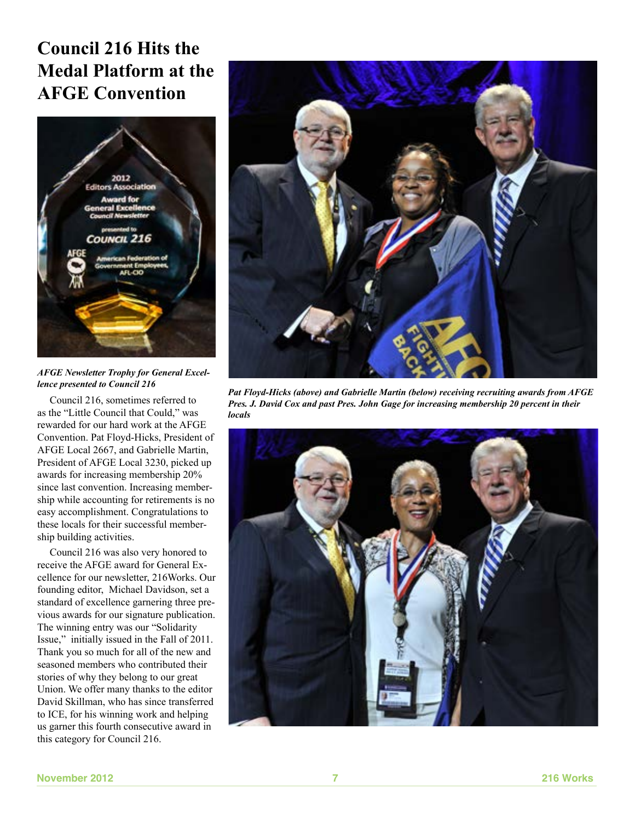### **Council 216 Hits the Medal Platform at the AFGE Convention**



*AFGE Newsletter Trophy for General Excellence presented to Council 216*

Council 216, sometimes referred to as the "Little Council that Could," was rewarded for our hard work at the AFGE Convention. Pat Floyd-Hicks, President of AFGE Local 2667, and Gabrielle Martin, President of AFGE Local 3230, picked up awards for increasing membership 20% since last convention. Increasing membership while accounting for retirements is no easy accomplishment. Congratulations to these locals for their successful membership building activities.

Council 216 was also very honored to receive the AFGE award for General Excellence for our newsletter, 216Works. Our founding editor, Michael Davidson, set a standard of excellence garnering three previous awards for our signature publication. The winning entry was our "Solidarity Issue," initially issued in the Fall of 2011. Thank you so much for all of the new and seasoned members who contributed their stories of why they belong to our great Union. We offer many thanks to the editor David Skillman, who has since transferred to ICE, for his winning work and helping us garner this fourth consecutive award in this category for Council 216.



*Pat Floyd-Hicks (above) and Gabrielle Martin (below) receiving recruiting awards from AFGE Pres. J. David Cox and past Pres. John Gage for increasing membership 20 percent in their locals*

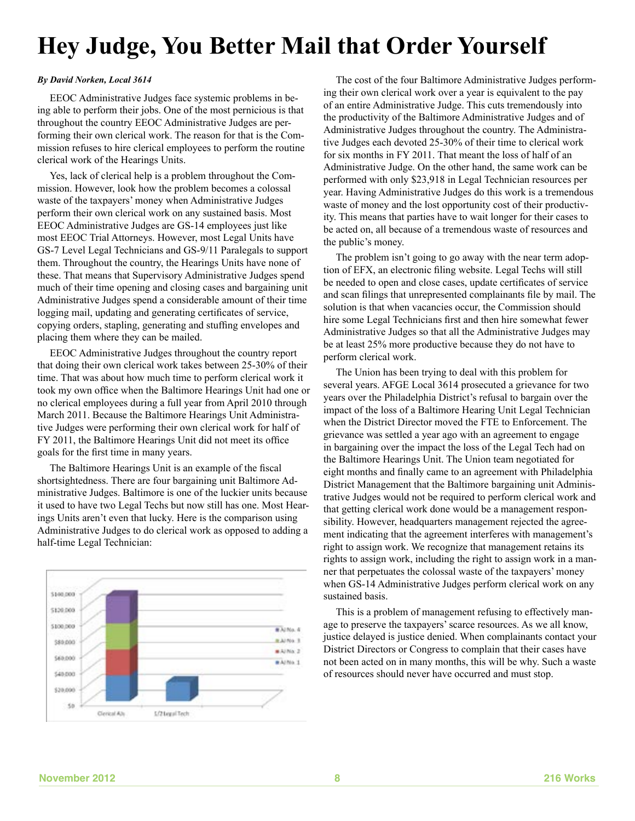# **Hey Judge, You Better Mail that Order Yourself**

#### *By David Norken, Local 3614*

EEOC Administrative Judges face systemic problems in being able to perform their jobs. One of the most pernicious is that throughout the country EEOC Administrative Judges are performing their own clerical work. The reason for that is the Commission refuses to hire clerical employees to perform the routine clerical work of the Hearings Units.

Yes, lack of clerical help is a problem throughout the Commission. However, look how the problem becomes a colossal waste of the taxpayers' money when Administrative Judges perform their own clerical work on any sustained basis. Most EEOC Administrative Judges are GS-14 employees just like most EEOC Trial Attorneys. However, most Legal Units have GS-7 Level Legal Technicians and GS-9/11 Paralegals to support them. Throughout the country, the Hearings Units have none of these. That means that Supervisory Administrative Judges spend much of their time opening and closing cases and bargaining unit Administrative Judges spend a considerable amount of their time logging mail, updating and generating certificates of service, copying orders, stapling, generating and stuffing envelopes and placing them where they can be mailed.

EEOC Administrative Judges throughout the country report that doing their own clerical work takes between 25-30% of their time. That was about how much time to perform clerical work it took my own office when the Baltimore Hearings Unit had one or no clerical employees during a full year from April 2010 through March 2011. Because the Baltimore Hearings Unit Administrative Judges were performing their own clerical work for half of FY 2011, the Baltimore Hearings Unit did not meet its office goals for the first time in many years.

The Baltimore Hearings Unit is an example of the fiscal shortsightedness. There are four bargaining unit Baltimore Administrative Judges. Baltimore is one of the luckier units because it used to have two Legal Techs but now still has one. Most Hearings Units aren't even that lucky. Here is the comparison using Administrative Judges to do clerical work as opposed to adding a half-time Legal Technician:



The cost of the four Baltimore Administrative Judges performing their own clerical work over a year is equivalent to the pay of an entire Administrative Judge. This cuts tremendously into the productivity of the Baltimore Administrative Judges and of Administrative Judges throughout the country. The Administrative Judges each devoted 25-30% of their time to clerical work for six months in FY 2011. That meant the loss of half of an Administrative Judge. On the other hand, the same work can be performed with only \$23,918 in Legal Technician resources per year. Having Administrative Judges do this work is a tremendous waste of money and the lost opportunity cost of their productivity. This means that parties have to wait longer for their cases to be acted on, all because of a tremendous waste of resources and the public's money.

The problem isn't going to go away with the near term adoption of EFX, an electronic filing website. Legal Techs will still be needed to open and close cases, update certificates of service and scan filings that unrepresented complainants file by mail. The solution is that when vacancies occur, the Commission should hire some Legal Technicians first and then hire somewhat fewer Administrative Judges so that all the Administrative Judges may be at least 25% more productive because they do not have to perform clerical work.

The Union has been trying to deal with this problem for several years. AFGE Local 3614 prosecuted a grievance for two years over the Philadelphia District's refusal to bargain over the impact of the loss of a Baltimore Hearing Unit Legal Technician when the District Director moved the FTE to Enforcement. The grievance was settled a year ago with an agreement to engage in bargaining over the impact the loss of the Legal Tech had on the Baltimore Hearings Unit. The Union team negotiated for eight months and finally came to an agreement with Philadelphia District Management that the Baltimore bargaining unit Administrative Judges would not be required to perform clerical work and that getting clerical work done would be a management responsibility. However, headquarters management rejected the agreement indicating that the agreement interferes with management's right to assign work. We recognize that management retains its rights to assign work, including the right to assign work in a manner that perpetuates the colossal waste of the taxpayers' money when GS-14 Administrative Judges perform clerical work on any sustained basis.

This is a problem of management refusing to effectively manage to preserve the taxpayers' scarce resources. As we all know, justice delayed is justice denied. When complainants contact your District Directors or Congress to complain that their cases have not been acted on in many months, this will be why. Such a waste of resources should never have occurred and must stop.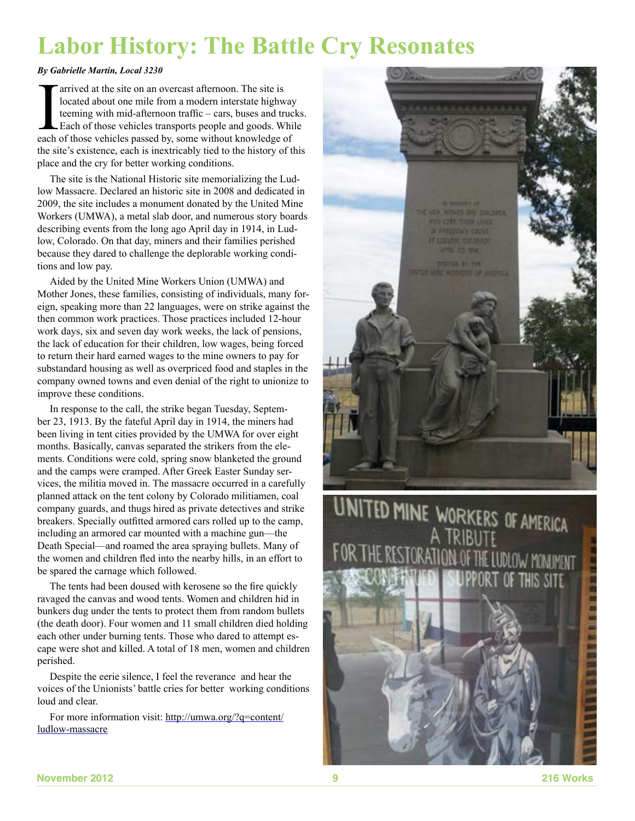# **Labor History: The Battle Cry Resonates**

#### *By Gabrielle Martin, Local 3230*

The arrived at the site on an overcast afternoon. The site is located about one mile from a modern interstate highwevening with mid-afternoon traffic – cars, buses and tracked Each of those vehicles transports people and g located about one mile from a modern interstate highway teeming with mid-afternoon traffic – cars, buses and trucks. Each of those vehicles transports people and goods. While each of those vehicles passed by, some without knowledge of the site's existence, each is inextricably tied to the history of this place and the cry for better working conditions.

The site is the National Historic site memorializing the Ludlow Massacre. Declared an historic site in 2008 and dedicated in 2009, the site includes a monument donated by the United Mine Workers (UMWA), a metal slab door, and numerous story boards describing events from the long ago April day in 1914, in Ludlow, Colorado. On that day, miners and their families perished because they dared to challenge the deplorable working conditions and low pay.

Aided by the United Mine Workers Union (UMWA) and Mother Jones, these families, consisting of individuals, many foreign, speaking more than 22 languages, were on strike against the then common work practices. Those practices included 12-hour work days, six and seven day work weeks, the lack of pensions, the lack of education for their children, low wages, being forced to return their hard earned wages to the mine owners to pay for substandard housing as well as overpriced food and staples in the company owned towns and even denial of the right to unionize to improve these conditions.

In response to the call, the strike began Tuesday, September 23, 1913. By the fateful April day in 1914, the miners had been living in tent cities provided by the UMWA for over eight months. Basically, canvas separated the strikers from the elements. Conditions were cold, spring snow blanketed the ground and the camps were cramped. After Greek Easter Sunday services, the militia moved in. The massacre occurred in a carefully planned attack on the tent colony by Colorado militiamen, coal company guards, and thugs hired as private detectives and strike breakers. Specially outfitted armored cars rolled up to the camp, including an armored car mounted with a machine gun—the Death Special—and roamed the area spraying bullets. Many of the women and children fled into the nearby hills, in an effort to be spared the carnage which followed.

The tents had been doused with kerosene so the fire quickly ravaged the canvas and wood tents. Women and children hid in bunkers dug under the tents to protect them from random bullets (the death door). Four women and 11 small children died holding each other under burning tents. Those who dared to attempt escape were shot and killed. A total of 18 men, women and children perished.

Despite the eerie silence, I feel the reverance and hear the voices of the Unionists' battle cries for better working conditions loud and clear.

For more information visit: http://umwa.org/?q=content/ ludlow-massacre



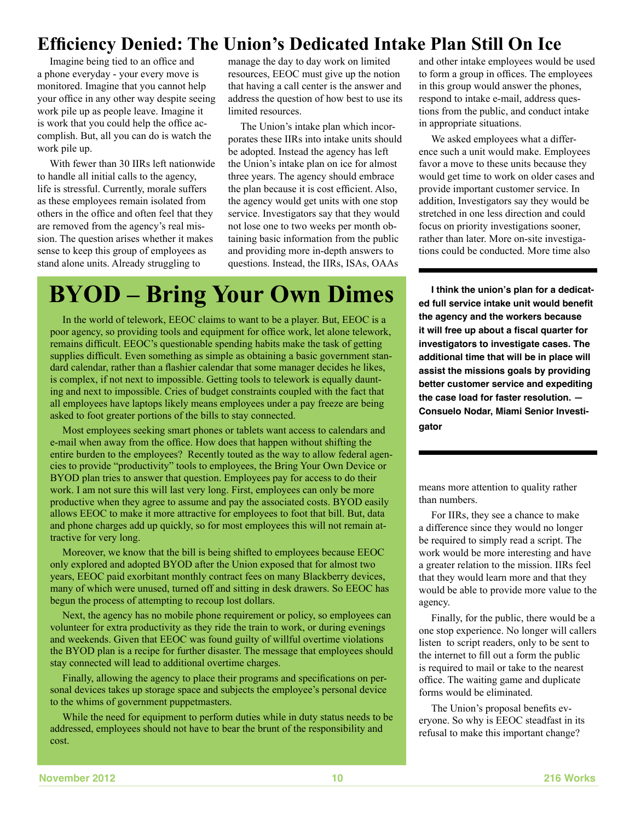### **Efficiency Denied: The Union's Dedicated Intake Plan Still On Ice**

Imagine being tied to an office and a phone everyday - your every move is monitored. Imagine that you cannot help your office in any other way despite seeing work pile up as people leave. Imagine it is work that you could help the office accomplish. But, all you can do is watch the work pile up.

With fewer than 30 IIRs left nationwide to handle all initial calls to the agency, life is stressful. Currently, morale suffers as these employees remain isolated from others in the office and often feel that they are removed from the agency's real mission. The question arises whether it makes sense to keep this group of employees as stand alone units. Already struggling to

manage the day to day work on limited resources, EEOC must give up the notion that having a call center is the answer and address the question of how best to use its limited resources.

The Union's intake plan which incorporates these IIRs into intake units should be adopted. Instead the agency has left the Union's intake plan on ice for almost three years. The agency should embrace the plan because it is cost efficient. Also, the agency would get units with one stop service. Investigators say that they would not lose one to two weeks per month obtaining basic information from the public and providing more in-depth answers to questions. Instead, the IIRs, ISAs, OAAs

# **BYOD – Bring Your Own Dimes**

In the world of telework, EEOC claims to want to be a player. But, EEOC is a poor agency, so providing tools and equipment for office work, let alone telework, remains difficult. EEOC's questionable spending habits make the task of getting supplies difficult. Even something as simple as obtaining a basic government standard calendar, rather than a flashier calendar that some manager decides he likes, is complex, if not next to impossible. Getting tools to telework is equally daunting and next to impossible. Cries of budget constraints coupled with the fact that all employees have laptops likely means employees under a pay freeze are being asked to foot greater portions of the bills to stay connected.

Most employees seeking smart phones or tablets want access to calendars and e-mail when away from the office. How does that happen without shifting the entire burden to the employees? Recently touted as the way to allow federal agencies to provide "productivity" tools to employees, the Bring Your Own Device or BYOD plan tries to answer that question. Employees pay for access to do their work. I am not sure this will last very long. First, employees can only be more productive when they agree to assume and pay the associated costs. BYOD easily allows EEOC to make it more attractive for employees to foot that bill. But, data and phone charges add up quickly, so for most employees this will not remain attractive for very long.

Moreover, we know that the bill is being shifted to employees because EEOC only explored and adopted BYOD after the Union exposed that for almost two years, EEOC paid exorbitant monthly contract fees on many Blackberry devices, many of which were unused, turned off and sitting in desk drawers. So EEOC has begun the process of attempting to recoup lost dollars.

Next, the agency has no mobile phone requirement or policy, so employees can volunteer for extra productivity as they ride the train to work, or during evenings and weekends. Given that EEOC was found guilty of willful overtime violations the BYOD plan is a recipe for further disaster. The message that employees should stay connected will lead to additional overtime charges.

Finally, allowing the agency to place their programs and specifications on personal devices takes up storage space and subjects the employee's personal device to the whims of government puppetmasters.

While the need for equipment to perform duties while in duty status needs to be addressed, employees should not have to bear the brunt of the responsibility and cost.

and other intake employees would be used to form a group in offices. The employees in this group would answer the phones, respond to intake e-mail, address questions from the public, and conduct intake in appropriate situations.

We asked employees what a difference such a unit would make. Employees favor a move to these units because they would get time to work on older cases and provide important customer service. In addition, Investigators say they would be stretched in one less direction and could focus on priority investigations sooner, rather than later. More on-site investigations could be conducted. More time also

**I think the union's plan for a dedicated full service intake unit would benefit the agency and the workers because it will free up about a fiscal quarter for investigators to investigate cases. The additional time that will be in place will assist the missions goals by providing better customer service and expediting the case load for faster resolution. — Consuelo Nodar, Miami Senior Investigator**

means more attention to quality rather than numbers.

For IIRs, they see a chance to make a difference since they would no longer be required to simply read a script. The work would be more interesting and have a greater relation to the mission. IIRs feel that they would learn more and that they would be able to provide more value to the agency.

Finally, for the public, there would be a one stop experience. No longer will callers listen to script readers, only to be sent to the internet to fill out a form the public is required to mail or take to the nearest office. The waiting game and duplicate forms would be eliminated.

The Union's proposal benefits everyone. So why is EEOC steadfast in its refusal to make this important change?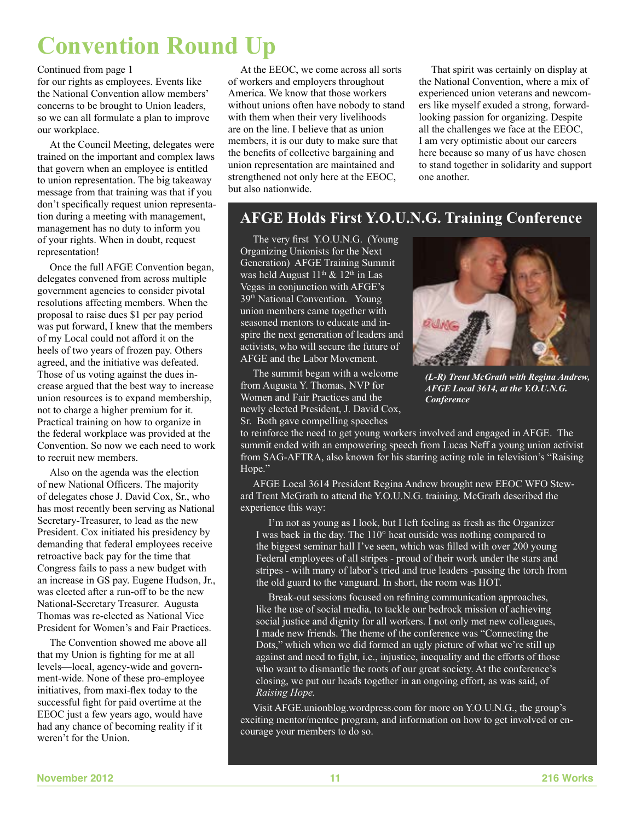## **Convention Round Up**

#### Continued from page 1

for our rights as employees. Events like the National Convention allow members' concerns to be brought to Union leaders, so we can all formulate a plan to improve our workplace.

At the Council Meeting, delegates were trained on the important and complex laws that govern when an employee is entitled to union representation. The big takeaway message from that training was that if you don't specifically request union representation during a meeting with management, management has no duty to inform you of your rights. When in doubt, request representation!

Once the full AFGE Convention began, delegates convened from across multiple government agencies to consider pivotal resolutions affecting members. When the proposal to raise dues \$1 per pay period was put forward, I knew that the members of my Local could not afford it on the heels of two years of frozen pay. Others agreed, and the initiative was defeated. Those of us voting against the dues increase argued that the best way to increase union resources is to expand membership, not to charge a higher premium for it. Practical training on how to organize in the federal workplace was provided at the Convention. So now we each need to work to recruit new members.

Also on the agenda was the election of new National Officers. The majority of delegates chose J. David Cox, Sr., who has most recently been serving as National Secretary-Treasurer, to lead as the new President. Cox initiated his presidency by demanding that federal employees receive retroactive back pay for the time that Congress fails to pass a new budget with an increase in GS pay. Eugene Hudson, Jr., was elected after a run-off to be the new National-Secretary Treasurer. Augusta Thomas was re-elected as National Vice President for Women's and Fair Practices.

The Convention showed me above all that my Union is fighting for me at all levels—local, agency-wide and government-wide. None of these pro-employee initiatives, from maxi-flex today to the successful fight for paid overtime at the EEOC just a few years ago, would have had any chance of becoming reality if it weren't for the Union.

At the EEOC, we come across all sorts of workers and employers throughout America. We know that those workers without unions often have nobody to stand with them when their very livelihoods are on the line. I believe that as union members, it is our duty to make sure that the benefits of collective bargaining and union representation are maintained and strengthened not only here at the EEOC, but also nationwide.

That spirit was certainly on display at the National Convention, where a mix of experienced union veterans and newcomers like myself exuded a strong, forwardlooking passion for organizing. Despite all the challenges we face at the EEOC, I am very optimistic about our careers here because so many of us have chosen to stand together in solidarity and support one another.

### **AFGE Holds First Y.O.U.N.G. Training Conference**

The very first Y.O.U.N.G. (Young Organizing Unionists for the Next Generation) AFGE Training Summit was held August  $11<sup>th</sup>$  &  $12<sup>th</sup>$  in Las Vegas in conjunction with AFGE's 39<sup>th</sup> National Convention. Young union members came together with seasoned mentors to educate and inspire the next generation of leaders and activists, who will secure the future of AFGE and the Labor Movement.

The summit began with a welcome from Augusta Y. Thomas, NVP for Women and Fair Practices and the newly elected President, J. David Cox, Sr. Both gave compelling speeches



*(L-R) Trent McGrath with Regina Andrew, AFGE Local 3614, at the Y.O.U.N.G. Conference*

to reinforce the need to get young workers involved and engaged in AFGE. The summit ended with an empowering speech from Lucas Neff a young union activist from SAG-AFTRA, also known for his starring acting role in television's "Raising Hope."

AFGE Local 3614 President Regina Andrew brought new EEOC WFO Steward Trent McGrath to attend the Y.O.U.N.G. training. McGrath described the experience this way:

I'm not as young as I look, but I left feeling as fresh as the Organizer I was back in the day. The 110° heat outside was nothing compared to the biggest seminar hall I've seen, which was filled with over 200 young Federal employees of all stripes - proud of their work under the stars and stripes - with many of labor's tried and true leaders -passing the torch from the old guard to the vanguard. In short, the room was HOT.

Break-out sessions focused on refining communication approaches, like the use of social media, to tackle our bedrock mission of achieving social justice and dignity for all workers. I not only met new colleagues, I made new friends. The theme of the conference was "Connecting the Dots," which when we did formed an ugly picture of what we're still up against and need to fight, i.e., injustice, inequality and the efforts of those who want to dismantle the roots of our great society. At the conference's closing, we put our heads together in an ongoing effort, as was said, of *Raising Hope.*

Visit AFGE.unionblog.wordpress.com for more on Y.O.U.N.G., the group's exciting mentor/mentee program, and information on how to get involved or encourage your members to do so.